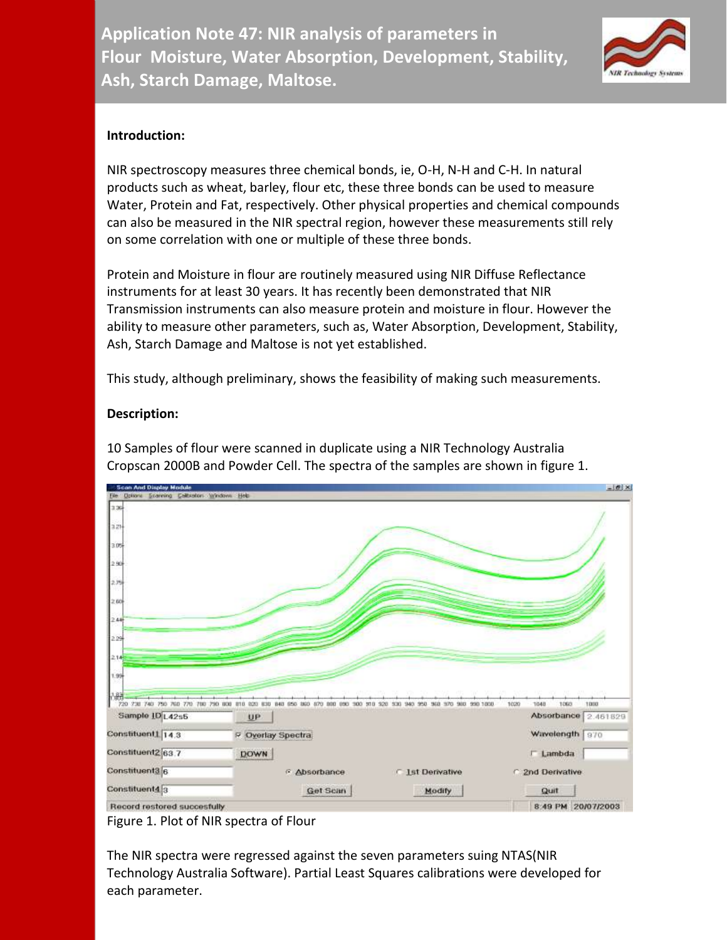

## **Introduction:**

NIR spectroscopy measures three chemical bonds, ie, O-H, N-H and C-H. In natural products such as wheat, barley, flour etc, these three bonds can be used to measure Water, Protein and Fat, respectively. Other physical properties and chemical compounds can also be measured in the NIR spectral region, however these measurements still rely on some correlation with one or multiple of these three bonds.

Protein and Moisture in flour are routinely measured using NIR Diffuse Reflectance instruments for at least 30 years. It has recently been demonstrated that NIR Transmission instruments can also measure protein and moisture in flour. However the ability to measure other parameters, such as, Water Absorption, Development, Stability, Ash, Starch Damage and Maltose is not yet established.

This study, although preliminary, shows the feasibility of making such measurements.

## **Description:**



10 Samples of flour were scanned in duplicate using a NIR Technology Australia Cropscan 2000B and Powder Cell. The spectra of the samples are shown in figure 1.

Figure 1. Plot of NIR spectra of Flour

The NIR spectra were regressed against the seven parameters suing NTAS(NIR Technology Australia Software). Partial Least Squares calibrations were developed for each parameter.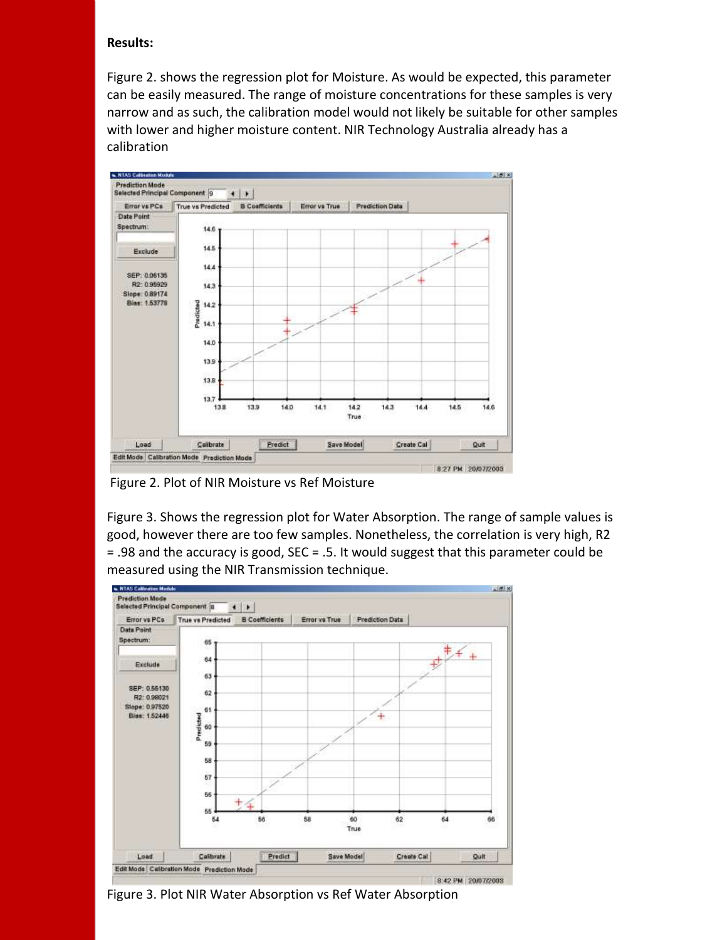### **Results:**

Figure 2. shows the regression plot for Moisture. As would be expected, this parameter can be easily measured. The range of moisture concentrations for these samples is very narrow and as such, the calibration model would not likely be suitable for other samples with lower and higher moisture content. NIR Technology Australia already has a calibration



Figure 2. Plot of NIR Moisture vs Ref Moisture

Figure 3. Shows the regression plot for Water Absorption. The range of sample values is good, however there are too few samples. Nonetheless, the correlation is very high, R2 = .98 and the accuracy is good, SEC = .5. It would suggest that this parameter could be measured using the NIR Transmission technique.



Figure 3. Plot NIR Water Absorption vs Ref Water Absorption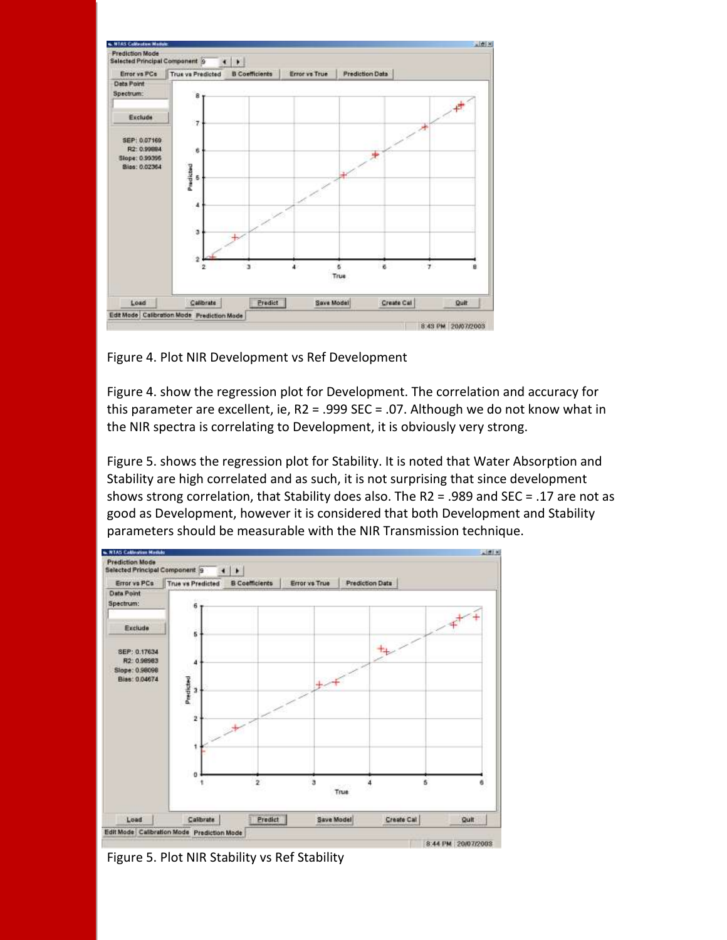

Figure 4. Plot NIR Development vs Ref Development

Figure 4. show the regression plot for Development. The correlation and accuracy for this parameter are excellent, ie, R2 = .999 SEC = .07. Although we do not know what in the NIR spectra is correlating to Development, it is obviously very strong.

Figure 5. shows the regression plot for Stability. It is noted that Water Absorption and Stability are high correlated and as such, it is not surprising that since development shows strong correlation, that Stability does also. The R2 = .989 and SEC = .17 are not as good as Development, however it is considered that both Development and Stability parameters should be measurable with the NIR Transmission technique.



Figure 5. Plot NIR Stability vs Ref Stability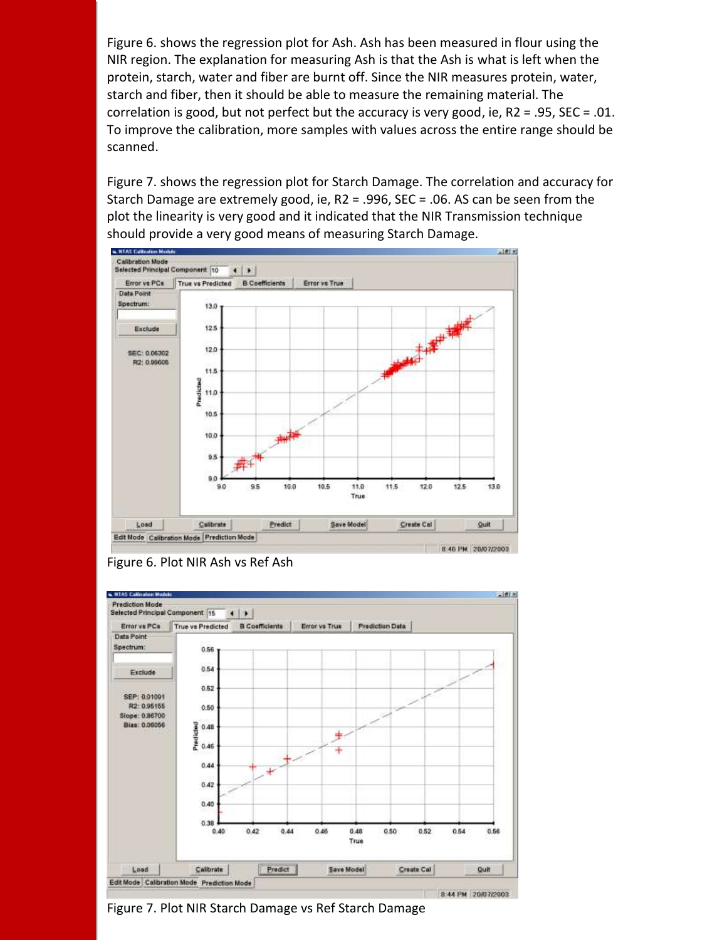Figure 6. shows the regression plot for Ash. Ash has been measured in flour using the NIR region. The explanation for measuring Ash is that the Ash is what is left when the protein, starch, water and fiber are burnt off. Since the NIR measures protein, water, starch and fiber, then it should be able to measure the remaining material. The correlation is good, but not perfect but the accuracy is very good, ie, R2 = .95, SEC = .01. To improve the calibration, more samples with values across the entire range should be scanned.

Figure 7. shows the regression plot for Starch Damage. The correlation and accuracy for Starch Damage are extremely good, ie, R2 = .996, SEC = .06. AS can be seen from the plot the linearity is very good and it indicated that the NIR Transmission technique should provide a very good means of measuring Starch Damage.







Figure 7. Plot NIR Starch Damage vs Ref Starch Damage